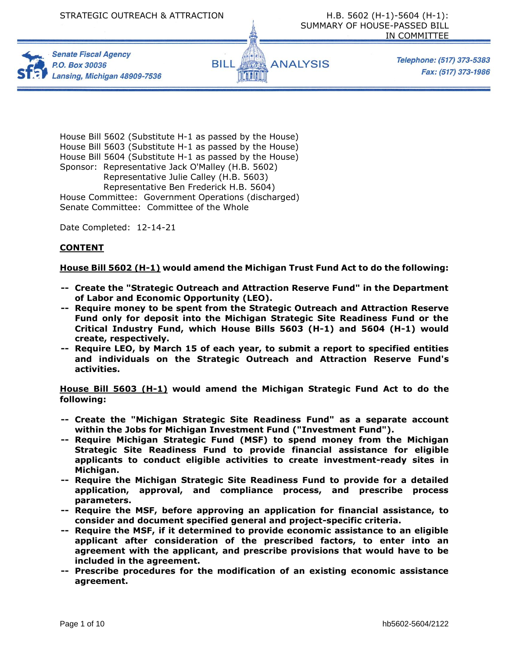





Telephone: (517) 373-5383 Fax: (517) 373-1986

House Bill 5602 (Substitute H-1 as passed by the House) House Bill 5603 (Substitute H-1 as passed by the House) House Bill 5604 (Substitute H-1 as passed by the House) Sponsor: Representative Jack O'Malley (H.B. 5602) Representative Julie Calley (H.B. 5603) Representative Ben Frederick H.B. 5604) House Committee: Government Operations (discharged) Senate Committee: Committee of the Whole

Date Completed: 12-14-21

### **CONTENT**

#### **House Bill 5602 (H-1) would amend the Michigan Trust Fund Act to do the following:**

- **-- Create the "Strategic Outreach and Attraction Reserve Fund" in the Department of Labor and Economic Opportunity (LEO).**
- **-- Require money to be spent from the Strategic Outreach and Attraction Reserve Fund only for deposit into the Michigan Strategic Site Readiness Fund or the Critical Industry Fund, which House Bills 5603 (H-1) and 5604 (H-1) would create, respectively.**
- **-- Require LEO, by March 15 of each year, to submit a report to specified entities and individuals on the Strategic Outreach and Attraction Reserve Fund's activities.**

**House Bill 5603 (H-1) would amend the Michigan Strategic Fund Act to do the following:**

- **-- Create the "Michigan Strategic Site Readiness Fund" as a separate account within the Jobs for Michigan Investment Fund ("Investment Fund").**
- **-- Require Michigan Strategic Fund (MSF) to spend money from the Michigan Strategic Site Readiness Fund to provide financial assistance for eligible applicants to conduct eligible activities to create investment-ready sites in Michigan.**
- **-- Require the Michigan Strategic Site Readiness Fund to provide for a detailed application, approval, and compliance process, and prescribe process parameters.**
- **-- Require the MSF, before approving an application for financial assistance, to consider and document specified general and project-specific criteria.**
- **-- Require the MSF, if it determined to provide economic assistance to an eligible applicant after consideration of the prescribed factors, to enter into an agreement with the applicant, and prescribe provisions that would have to be included in the agreement.**
- **-- Prescribe procedures for the modification of an existing economic assistance agreement.**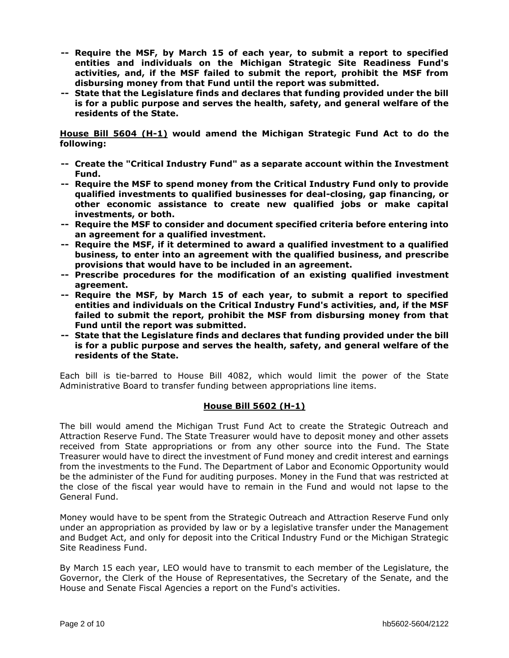- **-- Require the MSF, by March 15 of each year, to submit a report to specified entities and individuals on the Michigan Strategic Site Readiness Fund's activities, and, if the MSF failed to submit the report, prohibit the MSF from disbursing money from that Fund until the report was submitted.**
- **-- State that the Legislature finds and declares that funding provided under the bill is for a public purpose and serves the health, safety, and general welfare of the residents of the State.**

**House Bill 5604 (H-1) would amend the Michigan Strategic Fund Act to do the following:** 

- **-- Create the "Critical Industry Fund" as a separate account within the Investment Fund.**
- **-- Require the MSF to spend money from the Critical Industry Fund only to provide qualified investments to qualified businesses for deal-closing, gap financing, or other economic assistance to create new qualified jobs or make capital investments, or both.**
- **-- Require the MSF to consider and document specified criteria before entering into an agreement for a qualified investment.**
- **-- Require the MSF, if it determined to award a qualified investment to a qualified business, to enter into an agreement with the qualified business, and prescribe provisions that would have to be included in an agreement.**
- **-- Prescribe procedures for the modification of an existing qualified investment agreement.**
- **-- Require the MSF, by March 15 of each year, to submit a report to specified entities and individuals on the Critical Industry Fund's activities, and, if the MSF failed to submit the report, prohibit the MSF from disbursing money from that Fund until the report was submitted.**
- **-- State that the Legislature finds and declares that funding provided under the bill is for a public purpose and serves the health, safety, and general welfare of the residents of the State.**

Each bill is tie-barred to House Bill 4082, which would limit the power of the State Administrative Board to transfer funding between appropriations line items.

## **House Bill 5602 (H-1)**

The bill would amend the Michigan Trust Fund Act to create the Strategic Outreach and Attraction Reserve Fund. The State Treasurer would have to deposit money and other assets received from State appropriations or from any other source into the Fund. The State Treasurer would have to direct the investment of Fund money and credit interest and earnings from the investments to the Fund. The Department of Labor and Economic Opportunity would be the administer of the Fund for auditing purposes. Money in the Fund that was restricted at the close of the fiscal year would have to remain in the Fund and would not lapse to the General Fund.

Money would have to be spent from the Strategic Outreach and Attraction Reserve Fund only under an appropriation as provided by law or by a legislative transfer under the Management and Budget Act, and only for deposit into the Critical Industry Fund or the Michigan Strategic Site Readiness Fund.

By March 15 each year, LEO would have to transmit to each member of the Legislature, the Governor, the Clerk of the House of Representatives, the Secretary of the Senate, and the House and Senate Fiscal Agencies a report on the Fund's activities.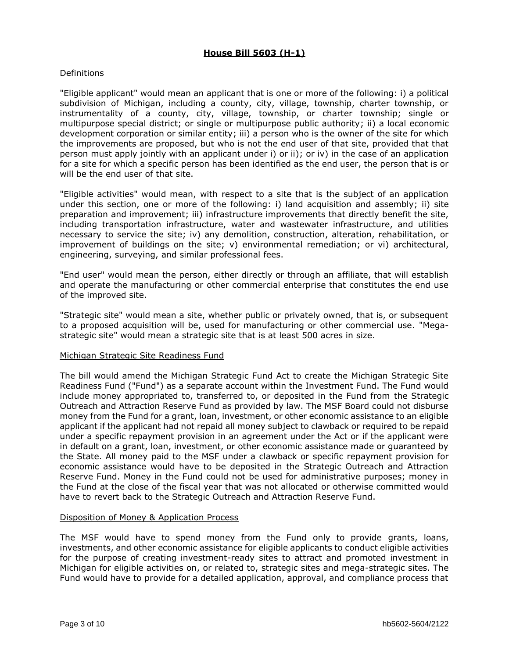# **House Bill 5603 (H-1)**

## Definitions

"Eligible applicant" would mean an applicant that is one or more of the following: i) a political subdivision of Michigan, including a county, city, village, township, charter township, or instrumentality of a county, city, village, township, or charter township; single or multipurpose special district; or single or multipurpose public authority; ii) a local economic development corporation or similar entity; iii) a person who is the owner of the site for which the improvements are proposed, but who is not the end user of that site, provided that that person must apply jointly with an applicant under i) or ii); or iv) in the case of an application for a site for which a specific person has been identified as the end user, the person that is or will be the end user of that site.

"Eligible activities" would mean, with respect to a site that is the subject of an application under this section, one or more of the following: i) land acquisition and assembly; ii) site preparation and improvement; iii) infrastructure improvements that directly benefit the site, including transportation infrastructure, water and wastewater infrastructure, and utilities necessary to service the site; iv) any demolition, construction, alteration, rehabilitation, or improvement of buildings on the site; v) environmental remediation; or vi) architectural, engineering, surveying, and similar professional fees.

"End user" would mean the person, either directly or through an affiliate, that will establish and operate the manufacturing or other commercial enterprise that constitutes the end use of the improved site.

"Strategic site" would mean a site, whether public or privately owned, that is, or subsequent to a proposed acquisition will be, used for manufacturing or other commercial use. "Megastrategic site" would mean a strategic site that is at least 500 acres in size.

#### Michigan Strategic Site Readiness Fund

The bill would amend the Michigan Strategic Fund Act to create the Michigan Strategic Site Readiness Fund ("Fund") as a separate account within the Investment Fund. The Fund would include money appropriated to, transferred to, or deposited in the Fund from the Strategic Outreach and Attraction Reserve Fund as provided by law. The MSF Board could not disburse money from the Fund for a grant, loan, investment, or other economic assistance to an eligible applicant if the applicant had not repaid all money subject to clawback or required to be repaid under a specific repayment provision in an agreement under the Act or if the applicant were in default on a grant, loan, investment, or other economic assistance made or guaranteed by the State. All money paid to the MSF under a clawback or specific repayment provision for economic assistance would have to be deposited in the Strategic Outreach and Attraction Reserve Fund. Money in the Fund could not be used for administrative purposes; money in the Fund at the close of the fiscal year that was not allocated or otherwise committed would have to revert back to the Strategic Outreach and Attraction Reserve Fund.

#### Disposition of Money & Application Process

The MSF would have to spend money from the Fund only to provide grants, loans, investments, and other economic assistance for eligible applicants to conduct eligible activities for the purpose of creating investment-ready sites to attract and promoted investment in Michigan for eligible activities on, or related to, strategic sites and mega-strategic sites. The Fund would have to provide for a detailed application, approval, and compliance process that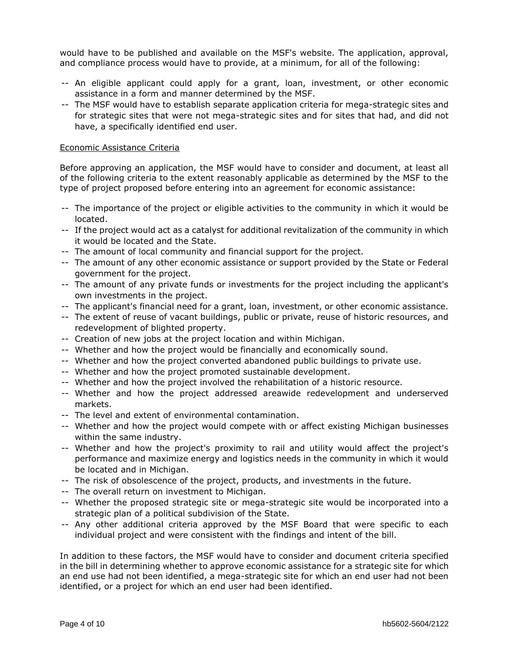would have to be published and available on the MSF's website. The application, approval, and compliance process would have to provide, at a minimum, for all of the following:

- -- An eligible applicant could apply for a grant, loan, investment, or other economic assistance in a form and manner determined by the MSF.
- -- The MSF would have to establish separate application criteria for mega-strategic sites and for strategic sites that were not mega-strategic sites and for sites that had, and did not have, a specifically identified end user.

#### Economic Assistance Criteria

Before approving an application, the MSF would have to consider and document, at least all of the following criteria to the extent reasonably applicable as determined by the MSF to the type of project proposed before entering into an agreement for economic assistance:

- -- The importance of the project or eligible activities to the community in which it would be located.
- -- If the project would act as a catalyst for additional revitalization of the community in which it would be located and the State.
- -- The amount of local community and financial support for the project.
- -- The amount of any other economic assistance or support provided by the State or Federal government for the project.
- -- The amount of any private funds or investments for the project including the applicant's own investments in the project.
- -- The applicant's financial need for a grant, loan, investment, or other economic assistance.
- -- The extent of reuse of vacant buildings, public or private, reuse of historic resources, and redevelopment of blighted property.
- -- Creation of new jobs at the project location and within Michigan.
- -- Whether and how the project would be financially and economically sound.
- -- Whether and how the project converted abandoned public buildings to private use.
- -- Whether and how the project promoted sustainable development.
- -- Whether and how the project involved the rehabilitation of a historic resource.
- -- Whether and how the project addressed areawide redevelopment and underserved markets.
- -- The level and extent of environmental contamination.
- -- Whether and how the project would compete with or affect existing Michigan businesses within the same industry.
- -- Whether and how the project's proximity to rail and utility would affect the project's performance and maximize energy and logistics needs in the community in which it would be located and in Michigan.
- -- The risk of obsolescence of the project, products, and investments in the future.
- -- The overall return on investment to Michigan.
- -- Whether the proposed strategic site or mega-strategic site would be incorporated into a strategic plan of a political subdivision of the State.
- -- Any other additional criteria approved by the MSF Board that were specific to each individual project and were consistent with the findings and intent of the bill.

In addition to these factors, the MSF would have to consider and document criteria specified in the bill in determining whether to approve economic assistance for a strategic site for which an end use had not been identified, a mega-strategic site for which an end user had not been identified, or a project for which an end user had been identified.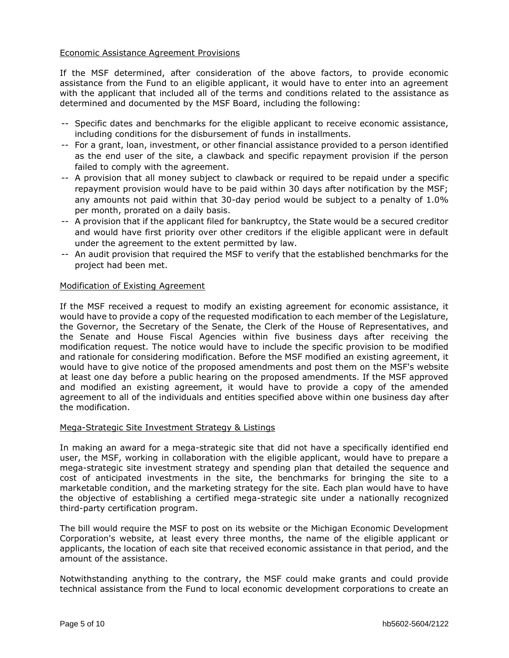## Economic Assistance Agreement Provisions

If the MSF determined, after consideration of the above factors, to provide economic assistance from the Fund to an eligible applicant, it would have to enter into an agreement with the applicant that included all of the terms and conditions related to the assistance as determined and documented by the MSF Board, including the following:

- -- Specific dates and benchmarks for the eligible applicant to receive economic assistance, including conditions for the disbursement of funds in installments.
- -- For a grant, loan, investment, or other financial assistance provided to a person identified as the end user of the site, a clawback and specific repayment provision if the person failed to comply with the agreement.
- -- A provision that all money subject to clawback or required to be repaid under a specific repayment provision would have to be paid within 30 days after notification by the MSF; any amounts not paid within that 30-day period would be subject to a penalty of 1.0% per month, prorated on a daily basis.
- -- A provision that if the applicant filed for bankruptcy, the State would be a secured creditor and would have first priority over other creditors if the eligible applicant were in default under the agreement to the extent permitted by law.
- -- An audit provision that required the MSF to verify that the established benchmarks for the project had been met.

## Modification of Existing Agreement

If the MSF received a request to modify an existing agreement for economic assistance, it would have to provide a copy of the requested modification to each member of the Legislature, the Governor, the Secretary of the Senate, the Clerk of the House of Representatives, and the Senate and House Fiscal Agencies within five business days after receiving the modification request. The notice would have to include the specific provision to be modified and rationale for considering modification. Before the MSF modified an existing agreement, it would have to give notice of the proposed amendments and post them on the MSF's website at least one day before a public hearing on the proposed amendments. If the MSF approved and modified an existing agreement, it would have to provide a copy of the amended agreement to all of the individuals and entities specified above within one business day after the modification.

#### Mega-Strategic Site Investment Strategy & Listings

In making an award for a mega-strategic site that did not have a specifically identified end user, the MSF, working in collaboration with the eligible applicant, would have to prepare a mega-strategic site investment strategy and spending plan that detailed the sequence and cost of anticipated investments in the site, the benchmarks for bringing the site to a marketable condition, and the marketing strategy for the site. Each plan would have to have the objective of establishing a certified mega-strategic site under a nationally recognized third-party certification program.

The bill would require the MSF to post on its website or the Michigan Economic Development Corporation's website, at least every three months, the name of the eligible applicant or applicants, the location of each site that received economic assistance in that period, and the amount of the assistance.

Notwithstanding anything to the contrary, the MSF could make grants and could provide technical assistance from the Fund to local economic development corporations to create an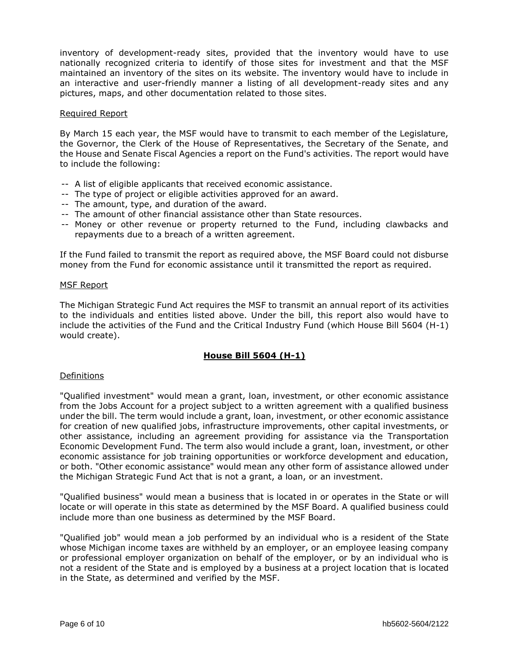inventory of development-ready sites, provided that the inventory would have to use nationally recognized criteria to identify of those sites for investment and that the MSF maintained an inventory of the sites on its website. The inventory would have to include in an interactive and user-friendly manner a listing of all development-ready sites and any pictures, maps, and other documentation related to those sites.

### Required Report

By March 15 each year, the MSF would have to transmit to each member of the Legislature, the Governor, the Clerk of the House of Representatives, the Secretary of the Senate, and the House and Senate Fiscal Agencies a report on the Fund's activities. The report would have to include the following:

- -- A list of eligible applicants that received economic assistance.
- -- The type of project or eligible activities approved for an award.
- -- The amount, type, and duration of the award.
- -- The amount of other financial assistance other than State resources.
- -- Money or other revenue or property returned to the Fund, including clawbacks and repayments due to a breach of a written agreement.

If the Fund failed to transmit the report as required above, the MSF Board could not disburse money from the Fund for economic assistance until it transmitted the report as required.

#### MSF Report

The Michigan Strategic Fund Act requires the MSF to transmit an annual report of its activities to the individuals and entities listed above. Under the bill, this report also would have to include the activities of the Fund and the Critical Industry Fund (which House Bill 5604 (H-1) would create).

## **House Bill 5604 (H-1)**

#### Definitions

"Qualified investment" would mean a grant, loan, investment, or other economic assistance from the Jobs Account for a project subject to a written agreement with a qualified business under the bill. The term would include a grant, loan, investment, or other economic assistance for creation of new qualified jobs, infrastructure improvements, other capital investments, or other assistance, including an agreement providing for assistance via the Transportation Economic Development Fund. The term also would include a grant, loan, investment, or other economic assistance for job training opportunities or workforce development and education, or both. "Other economic assistance" would mean any other form of assistance allowed under the Michigan Strategic Fund Act that is not a grant, a loan, or an investment.

"Qualified business" would mean a business that is located in or operates in the State or will locate or will operate in this state as determined by the MSF Board. A qualified business could include more than one business as determined by the MSF Board.

"Qualified job" would mean a job performed by an individual who is a resident of the State whose Michigan income taxes are withheld by an employer, or an employee leasing company or professional employer organization on behalf of the employer, or by an individual who is not a resident of the State and is employed by a business at a project location that is located in the State, as determined and verified by the MSF.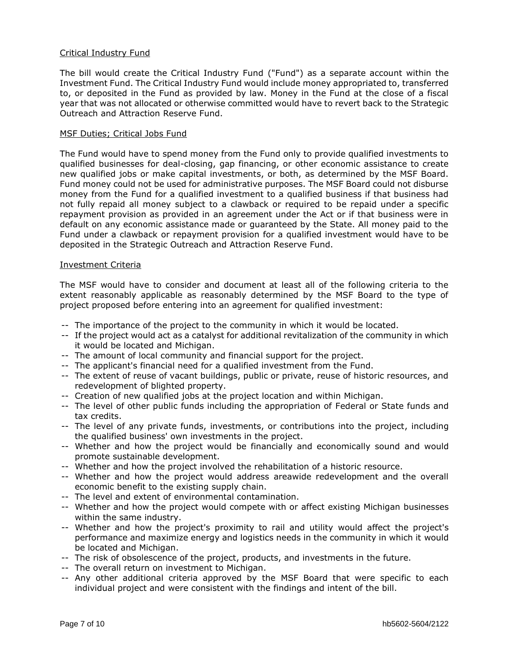## Critical Industry Fund

The bill would create the Critical Industry Fund ("Fund") as a separate account within the Investment Fund. The Critical Industry Fund would include money appropriated to, transferred to, or deposited in the Fund as provided by law. Money in the Fund at the close of a fiscal year that was not allocated or otherwise committed would have to revert back to the Strategic Outreach and Attraction Reserve Fund.

#### MSF Duties; Critical Jobs Fund

The Fund would have to spend money from the Fund only to provide qualified investments to qualified businesses for deal-closing, gap financing, or other economic assistance to create new qualified jobs or make capital investments, or both, as determined by the MSF Board. Fund money could not be used for administrative purposes. The MSF Board could not disburse money from the Fund for a qualified investment to a qualified business if that business had not fully repaid all money subject to a clawback or required to be repaid under a specific repayment provision as provided in an agreement under the Act or if that business were in default on any economic assistance made or guaranteed by the State. All money paid to the Fund under a clawback or repayment provision for a qualified investment would have to be deposited in the Strategic Outreach and Attraction Reserve Fund.

### Investment Criteria

The MSF would have to consider and document at least all of the following criteria to the extent reasonably applicable as reasonably determined by the MSF Board to the type of project proposed before entering into an agreement for qualified investment:

- -- The importance of the project to the community in which it would be located.
- -- If the project would act as a catalyst for additional revitalization of the community in which it would be located and Michigan.
- -- The amount of local community and financial support for the project.
- -- The applicant's financial need for a qualified investment from the Fund.
- -- The extent of reuse of vacant buildings, public or private, reuse of historic resources, and redevelopment of blighted property.
- -- Creation of new qualified jobs at the project location and within Michigan.
- -- The level of other public funds including the appropriation of Federal or State funds and tax credits.
- -- The level of any private funds, investments, or contributions into the project, including the qualified business' own investments in the project.
- -- Whether and how the project would be financially and economically sound and would promote sustainable development.
- -- Whether and how the project involved the rehabilitation of a historic resource.
- -- Whether and how the project would address areawide redevelopment and the overall economic benefit to the existing supply chain.
- -- The level and extent of environmental contamination.
- -- Whether and how the project would compete with or affect existing Michigan businesses within the same industry.
- -- Whether and how the project's proximity to rail and utility would affect the project's performance and maximize energy and logistics needs in the community in which it would be located and Michigan.
- -- The risk of obsolescence of the project, products, and investments in the future.
- -- The overall return on investment to Michigan.
- -- Any other additional criteria approved by the MSF Board that were specific to each individual project and were consistent with the findings and intent of the bill.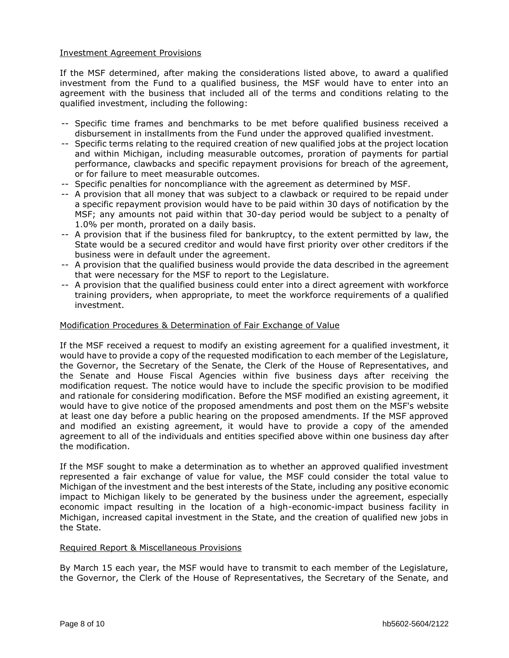## Investment Agreement Provisions

If the MSF determined, after making the considerations listed above, to award a qualified investment from the Fund to a qualified business, the MSF would have to enter into an agreement with the business that included all of the terms and conditions relating to the qualified investment, including the following:

- -- Specific time frames and benchmarks to be met before qualified business received a disbursement in installments from the Fund under the approved qualified investment.
- -- Specific terms relating to the required creation of new qualified jobs at the project location and within Michigan, including measurable outcomes, proration of payments for partial performance, clawbacks and specific repayment provisions for breach of the agreement, or for failure to meet measurable outcomes.
- -- Specific penalties for noncompliance with the agreement as determined by MSF.
- -- A provision that all money that was subject to a clawback or required to be repaid under a specific repayment provision would have to be paid within 30 days of notification by the MSF; any amounts not paid within that 30-day period would be subject to a penalty of 1.0% per month, prorated on a daily basis.
- -- A provision that if the business filed for bankruptcy, to the extent permitted by law, the State would be a secured creditor and would have first priority over other creditors if the business were in default under the agreement.
- -- A provision that the qualified business would provide the data described in the agreement that were necessary for the MSF to report to the Legislature.
- -- A provision that the qualified business could enter into a direct agreement with workforce training providers, when appropriate, to meet the workforce requirements of a qualified investment.

## Modification Procedures & Determination of Fair Exchange of Value

If the MSF received a request to modify an existing agreement for a qualified investment, it would have to provide a copy of the requested modification to each member of the Legislature, the Governor, the Secretary of the Senate, the Clerk of the House of Representatives, and the Senate and House Fiscal Agencies within five business days after receiving the modification request. The notice would have to include the specific provision to be modified and rationale for considering modification. Before the MSF modified an existing agreement, it would have to give notice of the proposed amendments and post them on the MSF's website at least one day before a public hearing on the proposed amendments. If the MSF approved and modified an existing agreement, it would have to provide a copy of the amended agreement to all of the individuals and entities specified above within one business day after the modification.

If the MSF sought to make a determination as to whether an approved qualified investment represented a fair exchange of value for value, the MSF could consider the total value to Michigan of the investment and the best interests of the State, including any positive economic impact to Michigan likely to be generated by the business under the agreement, especially economic impact resulting in the location of a high-economic-impact business facility in Michigan, increased capital investment in the State, and the creation of qualified new jobs in the State.

### Required Report & Miscellaneous Provisions

By March 15 each year, the MSF would have to transmit to each member of the Legislature, the Governor, the Clerk of the House of Representatives, the Secretary of the Senate, and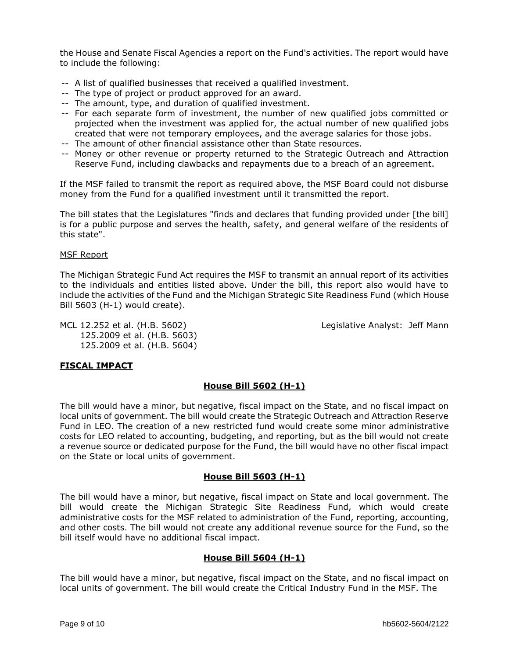the House and Senate Fiscal Agencies a report on the Fund's activities. The report would have to include the following:

- -- A list of qualified businesses that received a qualified investment.
- -- The type of project or product approved for an award.
- -- The amount, type, and duration of qualified investment.
- -- For each separate form of investment, the number of new qualified jobs committed or projected when the investment was applied for, the actual number of new qualified jobs created that were not temporary employees, and the average salaries for those jobs.
- -- The amount of other financial assistance other than State resources.
- -- Money or other revenue or property returned to the Strategic Outreach and Attraction Reserve Fund, including clawbacks and repayments due to a breach of an agreement.

If the MSF failed to transmit the report as required above, the MSF Board could not disburse money from the Fund for a qualified investment until it transmitted the report.

The bill states that the Legislatures "finds and declares that funding provided under [the bill] is for a public purpose and serves the health, safety, and general welfare of the residents of this state".

### MSF Report

The Michigan Strategic Fund Act requires the MSF to transmit an annual report of its activities to the individuals and entities listed above. Under the bill, this report also would have to include the activities of the Fund and the Michigan Strategic Site Readiness Fund (which House Bill 5603 (H-1) would create).

MCL 12.252 et al. (H.B. 5602) Legislative Analyst: Jeff Mann 125.2009 et al. (H.B. 5603) 125.2009 et al. (H.B. 5604)

# **FISCAL IMPACT**

# **House Bill 5602 (H-1)**

The bill would have a minor, but negative, fiscal impact on the State, and no fiscal impact on local units of government. The bill would create the Strategic Outreach and Attraction Reserve Fund in LEO. The creation of a new restricted fund would create some minor administrative costs for LEO related to accounting, budgeting, and reporting, but as the bill would not create a revenue source or dedicated purpose for the Fund, the bill would have no other fiscal impact on the State or local units of government.

## **House Bill 5603 (H-1)**

The bill would have a minor, but negative, fiscal impact on State and local government. The bill would create the Michigan Strategic Site Readiness Fund, which would create administrative costs for the MSF related to administration of the Fund, reporting, accounting, and other costs. The bill would not create any additional revenue source for the Fund, so the bill itself would have no additional fiscal impact.

## **House Bill 5604 (H-1)**

The bill would have a minor, but negative, fiscal impact on the State, and no fiscal impact on local units of government. The bill would create the Critical Industry Fund in the MSF. The